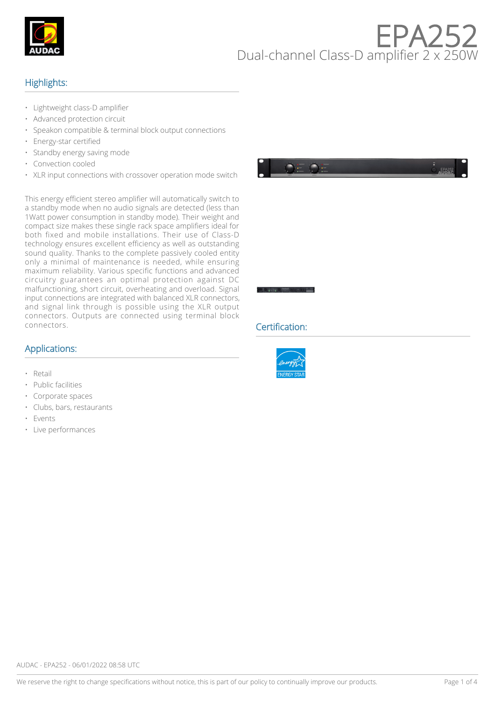

# $H$ Dual-channel Class-D amplifier  $2 \times 25$

## Highlights:

- Lightweight class-D amplifier
- Advanced protection circuit
- Speakon compatible & terminal block output connections
- Energy-star certified
- Standby energy saving mode
- Convection cooled
- XLR input connections with crossover operation mode switch

This energy efficient stereo amplifier will automatically switch to a standby mode when no audio signals are detected (less than 1Watt power consumption in standby mode). Their weight and compact size makes these single rack space amplifiers ideal for both fixed and mobile installations. Their use of Class-D technology ensures excellent efficiency as well as outstanding sound quality. Thanks to the complete passively cooled entity only a minimal of maintenance is needed, while ensuring maximum reliability. Various specific functions and advanced circuitry guarantees an optimal protection against DC malfunctioning, short circuit, overheating and overload. Signal input connections are integrated with balanced XLR connectors, and signal link through is possible using the XLR output connectors. Outputs are connected using terminal block connectors.

#### Applications:

- Retail
- Public facilities
- Corporate spaces
- Clubs, bars, restaurants
- **Events**
- Live performances





#### Certification:

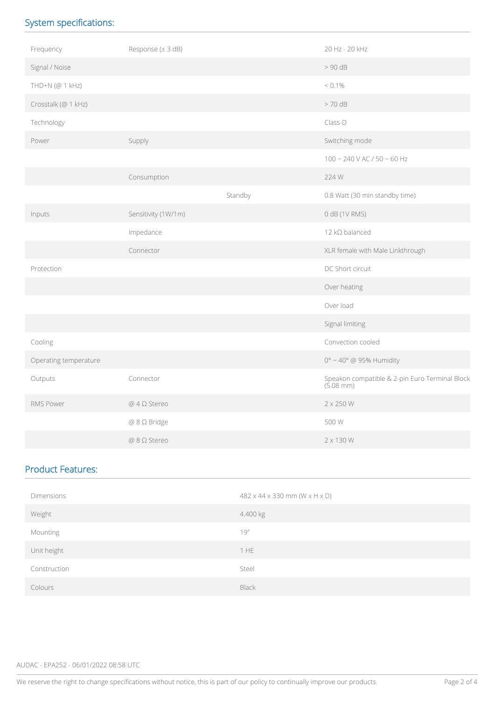# System specifications:

| Frequency             | Response (± 3 dB)     |         | 20 Hz - 20 kHz                                              |
|-----------------------|-----------------------|---------|-------------------------------------------------------------|
| Signal / Noise        |                       |         | > 90 dB                                                     |
| THD+N (@ 1 kHz)       |                       |         | $< 0.1\%$                                                   |
| Crosstalk (@ 1 kHz)   |                       |         | $>70$ dB                                                    |
| Technology            |                       |         | Class-D                                                     |
| Power                 | Supply                |         | Switching mode                                              |
|                       |                       |         | $100 - 240$ V AC / 50 ~ 60 Hz                               |
|                       | Consumption           |         | 224 W                                                       |
|                       |                       | Standby | 0.8 Watt (30 min standby time)                              |
| Inputs                | Sensitivity (1W/1m)   |         | 0 dB (1V RMS)                                               |
|                       | Impedance             |         | 12 kΩ balanced                                              |
|                       | Connector             |         | XLR female with Male Linkthrough                            |
| Protection            |                       |         | DC Short circuit                                            |
|                       |                       |         | Over heating                                                |
|                       |                       |         | Over load                                                   |
|                       |                       |         | Signal limiting                                             |
| Cooling               |                       |         | Convection cooled                                           |
| Operating temperature |                       |         | $0^\circ \sim 40^\circ$ @ 95% Humidity                      |
| Outputs               | Connector             |         | Speakon compatible & 2-pin Euro Terminal Block<br>(5.08 mm) |
| RMS Power             | $@$ 4 $\Omega$ Stereo |         | 2 x 250 W                                                   |
|                       | @ 8 Ω Bridge          |         | 500 W                                                       |
|                       | @ 8 Ω Stereo          |         | $2 \times 130$ W                                            |

### Product Features:

| Dimensions   | $482 \times 44 \times 330$ mm (W $\times$ H $\times$ D) |
|--------------|---------------------------------------------------------|
| Weight       | 4.400 kg                                                |
| Mounting     | 19''                                                    |
| Unit height  | 1 HE                                                    |
| Construction | Steel                                                   |
| Colours      | <b>Black</b>                                            |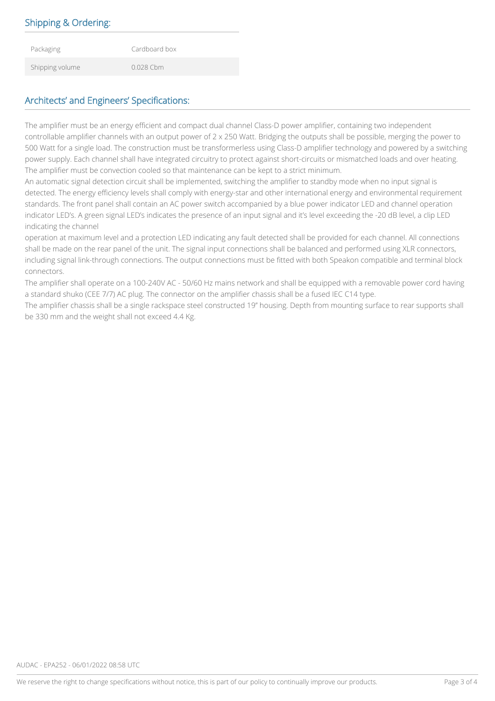# Shipping & Ordering:

| Packaging       | Cardboard box |
|-----------------|---------------|
| Shipping volume | $0.028$ Cbm   |

## Architects' and Engineers' Specifications:

The amplifier must be an energy efficient and compact dual channel Class-D power amplifier, containing two independent controllable amplifier channels with an output power of 2 x 250 Watt. Bridging the outputs shall be possible, merging the power to 500 Watt for a single load. The construction must be transformerless using Class-D amplifier technology and powered by a switching power supply. Each channel shall have integrated circuitry to protect against short-circuits or mismatched loads and over heating. The amplifier must be convection cooled so that maintenance can be kept to a strict minimum.

An automatic signal detection circuit shall be implemented, switching the amplifier to standby mode when no input signal is detected. The energy efficiency levels shall comply with energy-star and other international energy and environmental requirement standards. The front panel shall contain an AC power switch accompanied by a blue power indicator LED and channel operation indicator LED's. A green signal LED's indicates the presence of an input signal and it's level exceeding the -20 dB level, a clip LED indicating the channel

operation at maximum level and a protection LED indicating any fault detected shall be provided for each channel. All connections shall be made on the rear panel of the unit. The signal input connections shall be balanced and performed using XLR connectors, including signal link-through connections. The output connections must be fitted with both Speakon compatible and terminal block connectors.

The amplifier shall operate on a 100-240V AC - 50/60 Hz mains network and shall be equipped with a removable power cord having a standard shuko (CEE 7/7) AC plug. The connector on the amplifier chassis shall be a fused IEC C14 type.

The amplifier chassis shall be a single rackspace steel constructed 19'' housing. Depth from mounting surface to rear supports shall be 330 mm and the weight shall not exceed 4.4 Kg.